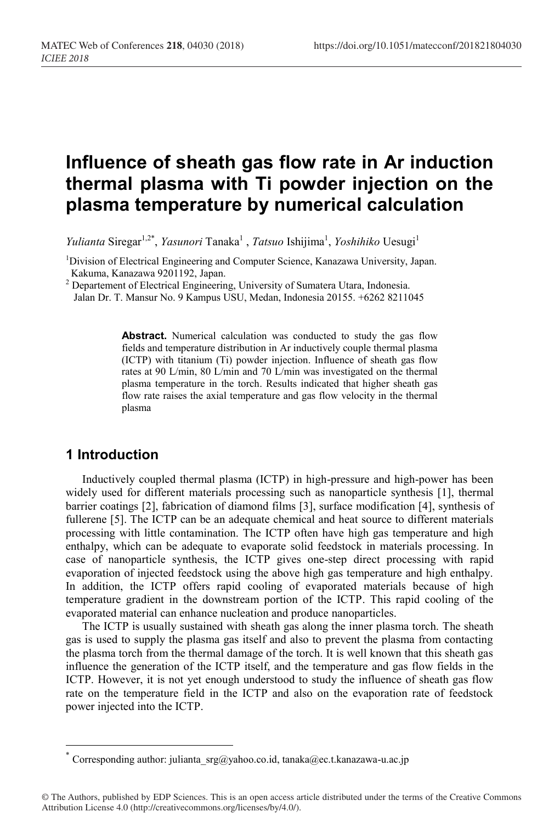# **Influence of sheath gas flow rate in Ar induction thermal plasma with Ti powder injection on the plasma temperature by numerical calculation**

*Yulianta* Siregar<sup>1,2\*</sup>, *Yasunori* Tanaka<sup>1</sup>, *Tatsuo* Ishijima<sup>1</sup>, *Yoshihiko* Uesugi<sup>1</sup>

<sup>1</sup>Division of Electrical Engineering and Computer Science, Kanazawa University, Japan. Kakuma, Kanazawa 9201192, Japan.

<sup>2</sup> Departement of Electrical Engineering, University of Sumatera Utara, Indonesia. Jalan Dr. T. Mansur No. 9 Kampus USU, Medan, Indonesia 20155. +6262 8211045

Abstract. Numerical calculation was conducted to study the gas flow fields and temperature distribution in Ar inductively couple thermal plasma (ICTP) with titanium (Ti) powder injection. Influence of sheath gas flow rates at 90 L/min, 80 L/min and 70 L/min was investigated on the thermal plasma temperature in the torch. Results indicated that higher sheath gas flow rate raises the axial temperature and gas flow velocity in the thermal plasma

# **1 Introduction**

Inductively coupled thermal plasma (ICTP) in high-pressure and high-power has been widely used for different materials processing such as nanoparticle synthesis [1], thermal barrier coatings [2], fabrication of diamond films [3], surface modification [4], synthesis of fullerene [5]. The ICTP can be an adequate chemical and heat source to different materials processing with little contamination. The ICTP often have high gas temperature and high enthalpy, which can be adequate to evaporate solid feedstock in materials processing. In case of nanoparticle synthesis, the ICTP gives one-step direct processing with rapid evaporation of injected feedstock using the above high gas temperature and high enthalpy. In addition, the ICTP offers rapid cooling of evaporated materials because of high temperature gradient in the downstream portion of the ICTP. This rapid cooling of the evaporated material can enhance nucleation and produce nanoparticles.

The ICTP is usually sustained with sheath gas along the inner plasma torch. The sheath gas is used to supply the plasma gas itself and also to prevent the plasma from contacting the plasma torch from the thermal damage of the torch. It is well known that this sheath gas influence the generation of the ICTP itself, and the temperature and gas flow fields in the ICTP. However, it is not yet enough understood to study the influence of sheath gas flow rate on the temperature field in the ICTP and also on the evaporation rate of feedstock power injected into the ICTP.

<sup>\*</sup> Corresponding author: julianta\_srg@yahoo.co.id, tanaka@ec.t.kanazawa-u.ac.jp

<sup>©</sup> The Authors, published by EDP Sciences. This is an open access article distributed under the terms of the Creative Commons Attribution License 4.0 (http://creativecommons.org/licenses/by/4.0/).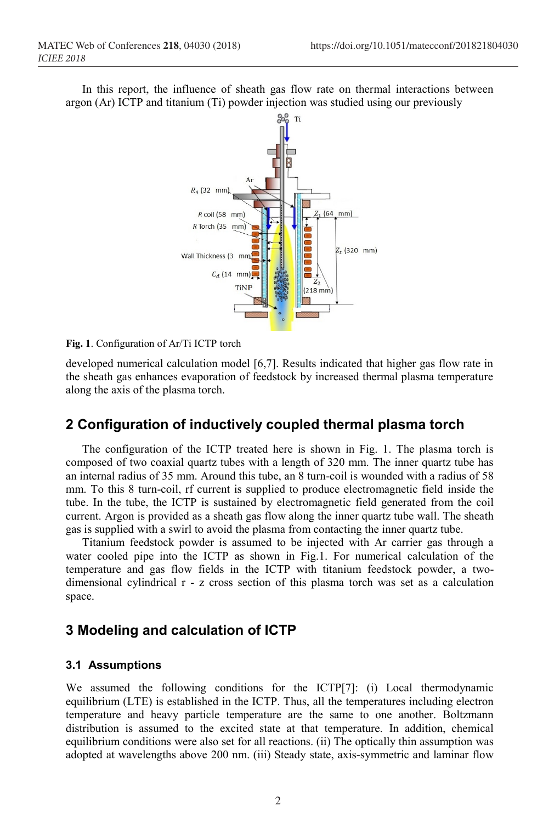In this report, the influence of sheath gas flow rate on thermal interactions between argon (Ar) ICTP and titanium (Ti) powder injection was studied using our previously



**Fig. 1**. Configuration of Ar/Ti ICTP torch

developed numerical calculation model [6,7]. Results indicated that higher gas flow rate in the sheath gas enhances evaporation of feedstock by increased thermal plasma temperature along the axis of the plasma torch.

# **2 Configuration of inductively coupled thermal plasma torch**

The configuration of the ICTP treated here is shown in Fig. 1. The plasma torch is composed of two coaxial quartz tubes with a length of 320 mm. The inner quartz tube has an internal radius of 35 mm. Around this tube, an 8 turn-coil is wounded with a radius of 58 mm. To this 8 turn-coil, rf current is supplied to produce electromagnetic field inside the tube. In the tube, the ICTP is sustained by electromagnetic field generated from the coil current. Argon is provided as a sheath gas flow along the inner quartz tube wall. The sheath gas is supplied with a swirl to avoid the plasma from contacting the inner quartz tube.

Titanium feedstock powder is assumed to be injected with Ar carrier gas through a water cooled pipe into the ICTP as shown in Fig.1. For numerical calculation of the temperature and gas flow fields in the ICTP with titanium feedstock powder, a twodimensional cylindrical r - z cross section of this plasma torch was set as a calculation space.

# **3 Modeling and calculation of ICTP**

#### **3.1 Assumptions**

We assumed the following conditions for the ICTP[7]: (i) Local thermodynamic equilibrium (LTE) is established in the ICTP. Thus, all the temperatures including electron temperature and heavy particle temperature are the same to one another. Boltzmann distribution is assumed to the excited state at that temperature. In addition, chemical equilibrium conditions were also set for all reactions. (ii) The optically thin assumption was adopted at wavelengths above 200 nm. (iii) Steady state, axis-symmetric and laminar flow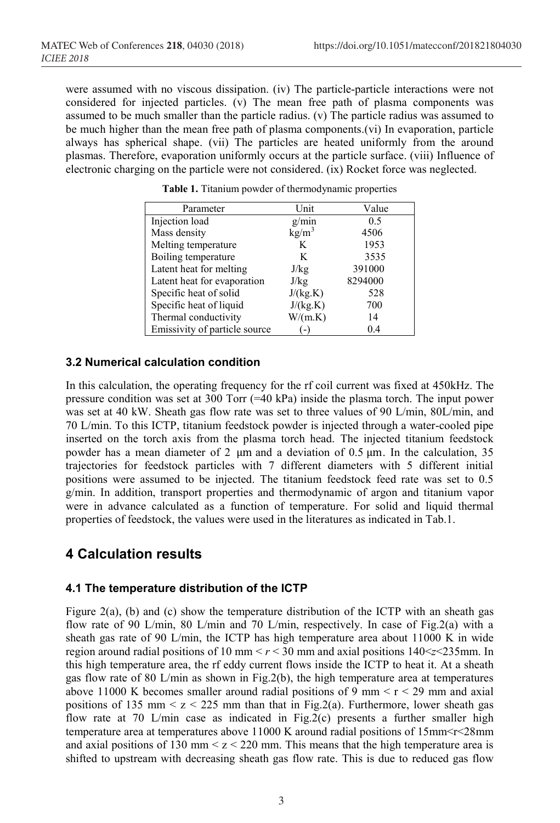were assumed with no viscous dissipation. (iv) The particle-particle interactions were not considered for injected particles. (v) The mean free path of plasma components was assumed to be much smaller than the particle radius. (v) The particle radius was assumed to be much higher than the mean free path of plasma components.(vi) In evaporation, particle always has spherical shape. (vii) The particles are heated uniformly from the around plasmas. Therefore, evaporation uniformly occurs at the particle surface. (viii) Influence of electronic charging on the particle were not considered. (ix) Rocket force was neglected.

| Parameter                     | Unit              | Value   |
|-------------------------------|-------------------|---------|
| Injection load                | g/min             | 0.5     |
| Mass density                  | kg/m <sup>3</sup> | 4506    |
| Melting temperature           | K                 | 1953    |
| Boiling temperature           | K                 | 3535    |
| Latent heat for melting       | J/kg              | 391000  |
| Latent heat for evaporation   | J/kg              | 8294000 |
| Specific heat of solid        | J/(kg.K)          | 528     |
| Specific heat of liquid       | J/(kg.K)          | 700     |
| Thermal conductivity          | W/(m.K)           | 14      |
| Emissivity of particle source |                   | 0.4     |

**Table 1.** Titanium powder of thermodynamic properties

#### **3.2 Numerical calculation condition**

In this calculation, the operating frequency for the rf coil current was fixed at 450kHz. The pressure condition was set at 300 Torr (=40 kPa) inside the plasma torch. The input power was set at 40 kW. Sheath gas flow rate was set to three values of 90 L/min, 80L/min, and 70 L/min. To this ICTP, titanium feedstock powder is injected through a water-cooled pipe inserted on the torch axis from the plasma torch head. The injected titanium feedstock powder has a mean diameter of 2  $\mu$ m and a deviation of 0.5  $\mu$ m. In the calculation, 35 trajectories for feedstock particles with 7 different diameters with 5 different initial positions were assumed to be injected. The titanium feedstock feed rate was set to 0.5 g/min. In addition, transport properties and thermodynamic of argon and titanium vapor were in advance calculated as a function of temperature. For solid and liquid thermal properties of feedstock, the values were used in the literatures as indicated in Tab.1.

# **4 Calculation results**

#### **4.1 The temperature distribution of the ICTP**

Figure 2(a), (b) and (c) show the temperature distribution of the ICTP with an sheath gas flow rate of 90 L/min, 80 L/min and 70 L/min, respectively. In case of Fig.2(a) with a sheath gas rate of 90 L/min, the ICTP has high temperature area about 11000 K in wide region around radial positions of 10 mm  $\lt r \lt 30$  mm and axial positions  $140 \lt z \lt 235$  mm. In this high temperature area, the rf eddy current flows inside the ICTP to heat it. At a sheath gas flow rate of 80 L/min as shown in Fig.2(b), the high temperature area at temperatures above 11000 K becomes smaller around radial positions of 9 mm  $\lt r \lt 29$  mm and axial positions of 135 mm  $\leq$  z  $\leq$  225 mm than that in Fig.2(a). Furthermore, lower sheath gas flow rate at 70 L/min case as indicated in Fig.2(c) presents a further smaller high temperature area at temperatures above  $11000$  K around radial positions of  $15$ mm < $r$  <  $28$ mm and axial positions of 130 mm  $\leq z \leq 220$  mm. This means that the high temperature area is shifted to upstream with decreasing sheath gas flow rate. This is due to reduced gas flow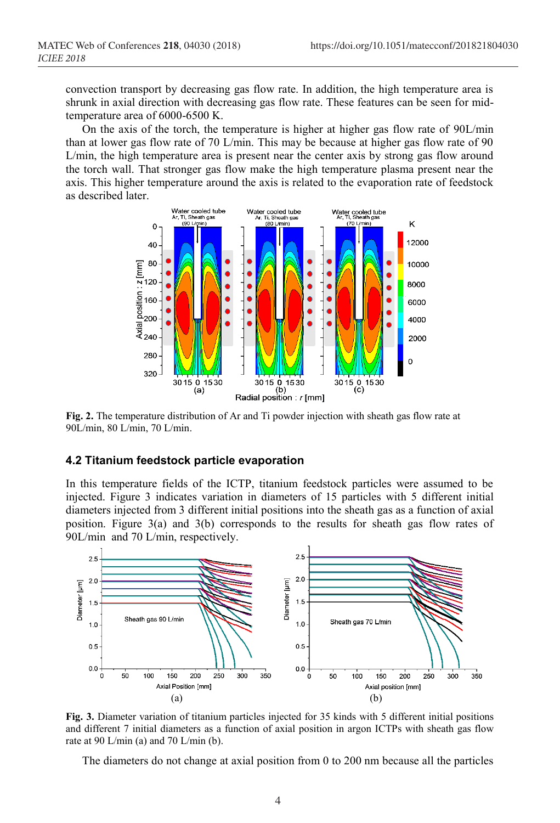convection transport by decreasing gas flow rate. In addition, the high temperature area is shrunk in axial direction with decreasing gas flow rate. These features can be seen for midtemperature area of 6000-6500 K.

On the axis of the torch, the temperature is higher at higher gas flow rate of 90L/min than at lower gas flow rate of 70 L/min. This may be because at higher gas flow rate of 90 L/min, the high temperature area is present near the center axis by strong gas flow around the torch wall. That stronger gas flow make the high temperature plasma present near the axis. This higher temperature around the axis is related to the evaporation rate of feedstock as described later.



**Fig. 2.** The temperature distribution of Ar and Ti powder injection with sheath gas flow rate at 90L/min, 80 L/min, 70 L/min.

#### **4.2 Titanium feedstock particle evaporation**

In this temperature fields of the ICTP, titanium feedstock particles were assumed to be injected. Figure 3 indicates variation in diameters of 15 particles with 5 different initial diameters injected from 3 different initial positions into the sheath gas as a function of axial position. Figure 3(a) and 3(b) corresponds to the results for sheath gas flow rates of 90L/min and 70 L/min, respectively.



**Fig. 3.** Diameter variation of titanium particles injected for 35 kinds with 5 different initial positions and different 7 initial diameters as a function of axial position in argon ICTPs with sheath gas flow rate at 90 L/min (a) and 70 L/min (b).

The diameters do not change at axial position from 0 to 200 nm because all the particles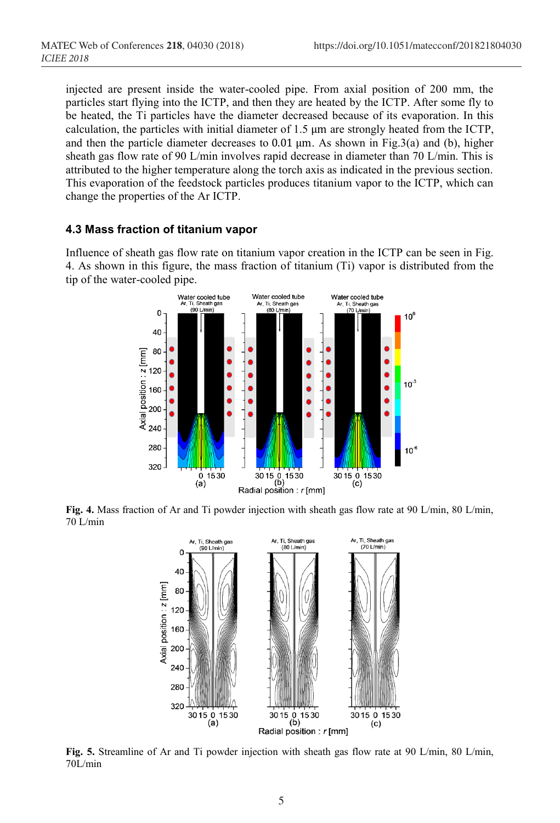injected are present inside the water-cooled pipe. From axial position of 200 mm, the particles start flying into the ICTP, and then they are heated by the ICTP. After some fly to be heated, the Ti particles have the diameter decreased because of its evaporation. In this calculation, the particles with initial diameter of  $1.5 \mu m$  are strongly heated from the ICTP, and then the particle diameter decreases to  $0.01 \mu m$ . As shown in Fig.3(a) and (b), higher sheath gas flow rate of 90 L/min involves rapid decrease in diameter than 70 L/min. This is attributed to the higher temperature along the torch axis as indicated in the previous section. This evaporation of the feedstock particles produces titanium vapor to the ICTP, which can change the properties of the Ar ICTP.

#### **4.3 Mass fraction of titanium vapor**

Influence of sheath gas flow rate on titanium vapor creation in the ICTP can be seen in Fig. 4. As shown in this figure, the mass fraction of titanium (Ti) vapor is distributed from the tip of the water-cooled pipe.



**Fig. 4.** Mass fraction of Ar and Ti powder injection with sheath gas flow rate at 90 L/min, 80 L/min, 70 L/min



**Fig. 5.** Streamline of Ar and Ti powder injection with sheath gas flow rate at 90 L/min, 80 L/min, 70L/min